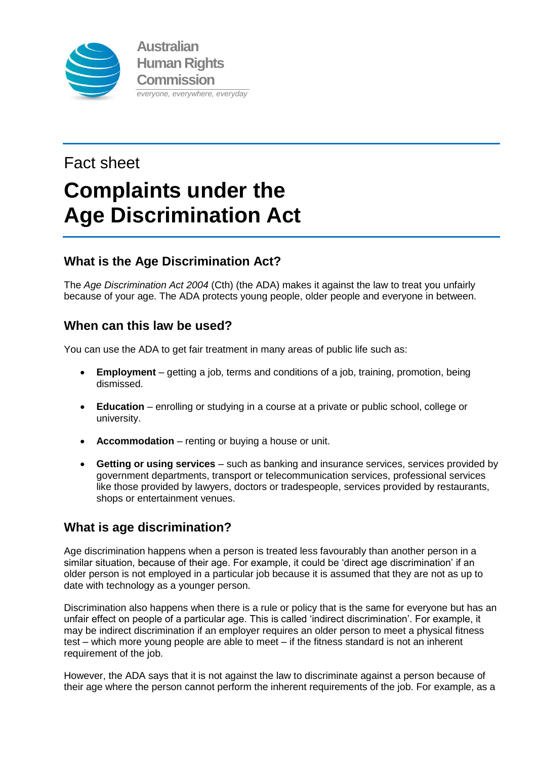

# Fact sheet **Complaints under the Age Discrimination Act**

# **What is the Age Discrimination Act?**

The *Age Discrimination Act 2004* (Cth) (the ADA) makes it against the law to treat you unfairly because of your age. The ADA protects young people, older people and everyone in between.

# **When can this law be used?**

You can use the ADA to get fair treatment in many areas of public life such as:

- **Employment** getting a job, terms and conditions of a job, training, promotion, being dismissed.
- **Education** enrolling or studying in a course at a private or public school, college or university.
- **Accommodation** renting or buying a house or unit.
- **Getting or using services** such as banking and insurance services, services provided by government departments, transport or telecommunication services, professional services like those provided by lawyers, doctors or tradespeople, services provided by restaurants, shops or entertainment venues.

## **What is age discrimination?**

Age discrimination happens when a person is treated less favourably than another person in a similar situation, because of their age. For example, it could be 'direct age discrimination' if an older person is not employed in a particular job because it is assumed that they are not as up to date with technology as a younger person.

Discrimination also happens when there is a rule or policy that is the same for everyone but has an unfair effect on people of a particular age. This is called 'indirect discrimination'. For example, it may be indirect discrimination if an employer requires an older person to meet a physical fitness test – which more young people are able to meet – if the fitness standard is not an inherent requirement of the job.

However, the ADA says that it is not against the law to discriminate against a person because of their age where the person cannot perform the inherent requirements of the job. For example, as a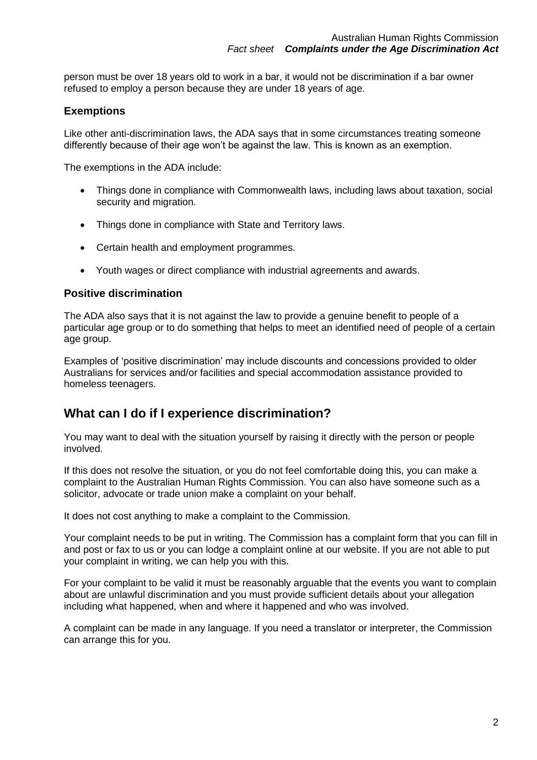person must be over 18 years old to work in a bar, it would not be discrimination if a bar owner refused to employ a person because they are under 18 years of age.

## **Exemptions**

Like other anti-discrimination laws, the ADA says that in some circumstances treating someone differently because of their age won't be against the law. This is known as an exemption.

The exemptions in the ADA include:

- Things done in compliance with Commonwealth laws, including laws about taxation, social security and migration.
- Things done in compliance with State and Territory laws.
- Certain health and employment programmes.
- Youth wages or direct compliance with industrial agreements and awards.

## **Positive discrimination**

The ADA also says that it is not against the law to provide a genuine benefit to people of a particular age group or to do something that helps to meet an identified need of people of a certain age group.

Examples of 'positive discrimination' may include discounts and concessions provided to older Australians for services and/or facilities and special accommodation assistance provided to homeless teenagers.

## **What can I do if I experience discrimination?**

You may want to deal with the situation yourself by raising it directly with the person or people involved.

If this does not resolve the situation, or you do not feel comfortable doing this, you can make a complaint to the Australian Human Rights Commission. You can also have someone such as a solicitor, advocate or trade union make a complaint on your behalf.

It does not cost anything to make a complaint to the Commission.

Your complaint needs to be put in writing. The Commission has a complaint form that you can fill in and post or fax to us or you can lodge a complaint online at our website. If you are not able to put your complaint in writing, we can help you with this.

For your complaint to be valid it must be reasonably arguable that the events you want to complain about are unlawful discrimination and you must provide sufficient details about your allegation including what happened, when and where it happened and who was involved.

A complaint can be made in any language. If you need a translator or interpreter, the Commission can arrange this for you.